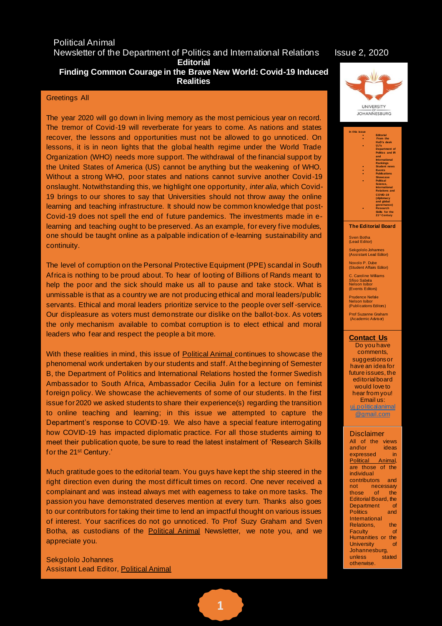#### Political Animal Newsletter of the Department of Politics and International Relations Issue 2, 2020 **Editorial**

## **Finding Common Courage in the Brave New World: Covid-19 Induced Realities**

#### Greetings All

The year 2020 will go down in living memory as the most pernicious year on record. The tremor of Covid-19 will reverberate for years to come. As nations and states recover, the lessons and opportunities must not be allowed to go unnoticed. On lessons, it is in neon lights that the global health regime under the World Trade Organization (WHO) needs more support. The withdrawal of the financial support by the United States of America (US) cannot be anything but the weakening of WHO. Without a strong WHO, poor states and nations cannot survive another Covid-19 onslaught. Notwithstanding this, we highlight one opportunity, *inter alia*, which Covid-19 brings to our shores to say that Universities should not throw away the online learning and teaching infrastructure. It should now be common knowledge that post-Covid-19 does not spell the end of future pandemics. The investments made in elearning and teaching ought to be preserved. As an example, for every five modules, one should be taught online as a palpable indication of e-learning sustainability and continuity.

The level of corruption on the Personal Protective Equipment (PPE) scandal in South Africa is nothing to be proud about. To hear of looting of Billions of Rands meant to help the poor and the sick should make us all to pause and take stock. What is unmissable is that as a country we are not producing ethical and moral leaders/public servants. Ethical and moral leaders prioritize service to the people over self -service. Our displeasure as voters must demonstrate our dislike on the ballot-box. As voters the only mechanism available to combat corruption is to elect ethical and moral leaders who fear and respect the people a bit more.

With these realities in mind, this issue of Political Animal continues to showcase the phenomenal work undertaken by our students and staff. At the beginning of Semester B, the Department of Politics and International Relations hosted the former Swedish Ambassador to South Africa, Ambassador Cecilia Julin for a lecture on feminist foreign policy. We showcase the achievements of some of our students. In the first issue for 2020 we asked students to share their experience(s) regarding the transition to online teaching and learning; in this issue we attempted to capture the Department's response to COVID-19. We also have a special feature interrogating how COVID-19 has impacted diplomatic practice. For all those students aiming to meet their publication quote, be sure to read the latest instalment of 'Research Skills for the 21st Century.'

Much gratitude goes to the editorial team. You guys have kept the ship steered in the right direction even during the most difficult times on record. One never received a complainant and was instead always met with eagerness to take on more tasks. The passion you have demonstrated deserves mention at every turn. Thanks also goes to our contributors for taking their time to lend an impactful thought on various issues of interest. Your sacrifices do not go unnoticed. To Prof Suzy Graham and Sven Botha, as custodians of the Political Animal Newsletter, we note you, and we appreciate you.

Sekgololo Johannes Assistant Lead Editor, Political Animal



| In this issue |                          |
|---------------|--------------------------|
|               | <b>Editorial</b>         |
|               | From the                 |
|               | HoD's desk               |
|               | U.Ps                     |
|               | <b>Department</b> of     |
|               | Politics and IR          |
|               | and                      |
|               | <b>International</b>     |
|               | <b>Rankings</b>          |
|               | <b>Student news</b>      |
|               | <b>Events</b>            |
|               | <b>Publications</b>      |
|               | <b>Showcase</b>          |
|               | <b>Political</b>         |
|               | Science.                 |
|               | <b>International</b>     |
|               | <b>Relations and</b>     |
|               | COVID-19                 |
|               | (diplomacy               |
|               | and global               |
|               | governance)              |
|               | <b>Research</b>          |
|               | Skills for the           |
|               | 21 <sup>st</sup> Century |
|               |                          |

#### **The Editorial Board**

Sven Botha (Lead Editor)

Sekgololo Johannes (Assistant Lead Editor)

Noxolo P. Dube (Student Affairs Editor)

C. Caroline Williams Sfiso Sabela Nelson Isibor (Events Editors)

Prudence Nefale Nelson Isibo (Publications Editors)

Prof Suzanne Graham (Academic Advisor)

#### **Contact Us**

Do you have comments, suggestions or have an idea for future issues, the editorial board would love to hear from you! Email us: [uj.politicalanimal](mailto:uj.politicalanimal@gmail.com) [@gmail.com](mailto:uj.politicalanimal@gmail.com)

#### **Disclaimer**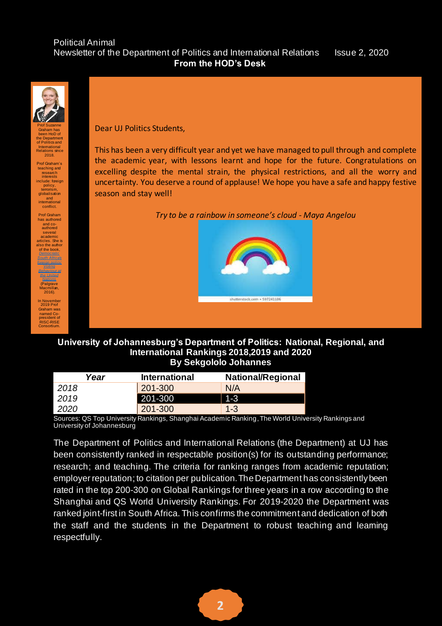#### Political Animal Newsletter of the Department of Politics and International Relations Issue 2, 2020 **From the HOD's Desk**



Graham has been HoD of the Department of Politics and International Relations since 2018.

Prof Graham's teaching and research interests include: foreign policy, terrorism, globalisation and international conflict.

Prof Graham has authored and co-authored several academic articles. She is also the author of the book, *[Democratic](https://www.palgrave.com/gp/book/9781137593801)  [South Africa's](https://www.palgrave.com/gp/book/9781137593801)  [foreign policy:](https://www.palgrave.com/gp/book/9781137593801)  [Voting](https://www.palgrave.com/gp/book/9781137593801)  [Behaviour at](https://www.palgrave.com/gp/book/9781137593801)  [the United](https://www.palgrave.com/gp/book/9781137593801)  [Nations](https://www.palgrave.com/gp/book/9781137593801)* (Palgrave Macmillan, 2016). In November

2019 Prof Graham was named Co-president of RISC-RISE Consortium.

Dear UJ Politics Students,

This has been a very difficult year and yet we have managed to pull through and complete the academic year, with lessons learnt and hope for the future. Congratulations on excelling despite the mental strain, the physical restrictions, and all the worry and uncertainty. You deserve a round of applause! We hope you have a safe and happy festive season and stay well!

*Try to be a rainbow in someone's cloud - Maya Angelou*



## **University of Johannesburg's Department of Politics: National, Regional, and International Rankings 2018,2019 and 2020 By Sekgololo Johannes**

| Year | <b>International</b> | <b>National/Regional</b> |
|------|----------------------|--------------------------|
| 2018 | 201-300              | N/A                      |
| 2019 | 201-300              | $1 - 3$                  |
| 2020 | 201-300              | $1-3$                    |

Sources: QS Top University Rankings, Shanghai Academic Ranking, The World University Rankings and University of Johannesburg

The Department of Politics and International Relations (the Department) at UJ has been consistently ranked in respectable position(s) for its outstanding performance; research; and teaching. The criteria for ranking ranges from academic reputation; employer reputation; to citation per publication. The Department has consistently been rated in the top 200-300 on Global Rankings for three years in a row according to the Shanghai and QS World University Rankings. For 2019-2020 the Department was ranked joint-first in South Africa. This confirms the commitment and dedication of both the staff and the students in the Department to robust teaching and leaming respectfully.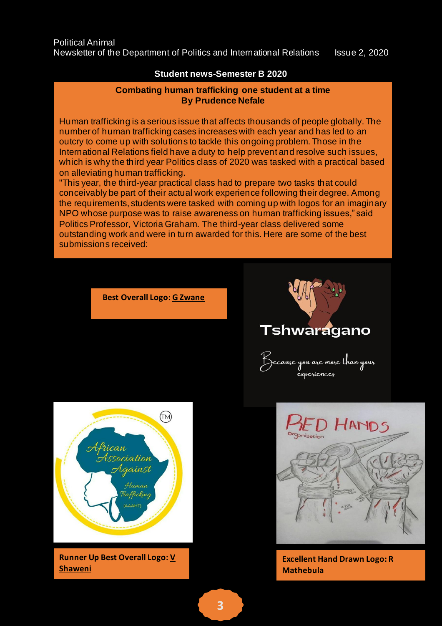# **Student news-Semester B 2020**

# **By Prudence Nefale Combating human trafficking one student at a time**

Human trafficking is a serious issue that affects thousands of people globally. The number of human trafficking cases increases with each year and has led to an outcry to come up with solutions to tackle this ongoing problem. Those in the International Relations field have a duty to help prevent and resolve such issues, which is why the third year Politics class of 2020 was tasked with a practical based on alleviating human trafficking.

"This year, the third-year practical class had to prepare two tasks that could conceivably be part of their actual work experience following their degree. Among the requirements, students were tasked with coming up with logos for an imaginary NPO whose purpose was to raise awareness on human trafficking issues," said Politics Professor, Victoria Graham. The third-year class delivered some outstanding work and were in turn awarded for this. Here are some of the best submissions received:

**Best Overall Logo: G Zwane**





**Runner Up Best Overall Logo: V Shaweni**





**Excellent Hand Drawn Logo: R Mathebula**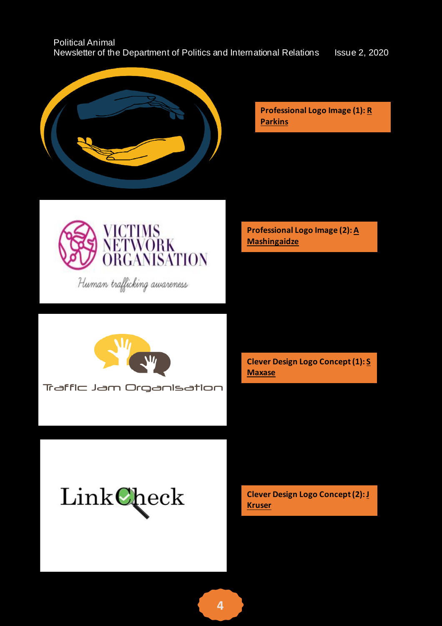| <b>Political Animal</b>                                                |                      |
|------------------------------------------------------------------------|----------------------|
| Newsletter of the Department of Politics and International Relations b | <b>Issue 2, 2020</b> |



**Professional Logo Image (1): R Parkins**



Human trafficking awareness

**Professional Logo Image (2): A Mashingaidze**



Traffic Jam Organisation

**Clever Design Logo Concept (1): S Maxase**

LinkCheck

**Clever Design Logo Concept (2): J Kruser**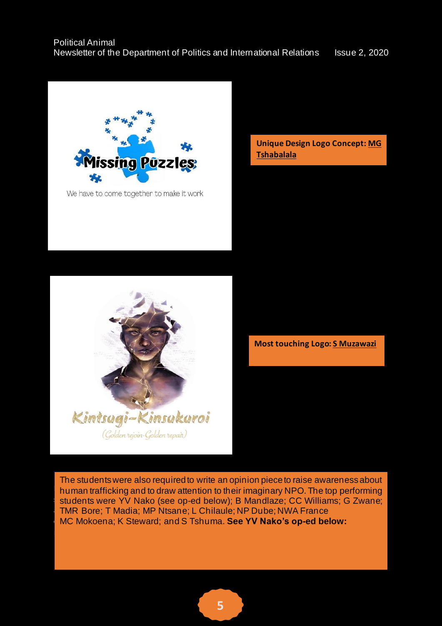

We have to come together to make it work

**Unique Design Logo Concept: MG Tshabalala**



**Most touching Logo: S Muzawazi**

The students were also required to write an opinion piece to raise awareness about human trafficking and to draw attention to their imaginary NPO. The top performing students were YV Nako (see op-ed below); B Mandlaze; CC Williams; G Zwane; TMR Bore; T Madia; MP Ntsane; L Chilaule; NP Dube; NWA France The 2020 third year 2020 the 2020 the 2020 the 20 **MC Mokoena; K Steward; and S Tshuma. See YV Nako's op-ed below:** The suspected or suspected to the subspected or suspected to the suspected or suspected to the subspected or suspected to the suspected or suspected to the

need help, please contact the South African National Human Trafficking Hotline on 0800 2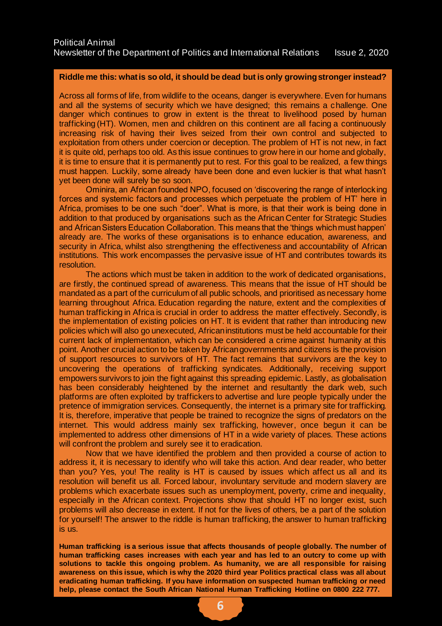#### **Riddle me this: what is so old, it should be dead but is only growing stronger instead?**

Across all forms of life, from wildlife to the oceans, danger is everywhere. Even for humans and all the systems of security which we have designed; this remains a challenge. One danger which continues to grow in extent is the threat to livelihood posed by human trafficking (HT). Women, men and children on this continent are all facing a continuously increasing risk of having their lives seized from their own control and subjected to exploitation from others under coercion or deception. The problem of HT is not new, in fact it is quite old, perhaps too old. As this issue continues to grow here in our home and globally, it is time to ensure that it is permanently put to rest. For this goal to be realized, a few things must happen. Luckily, some already have been done and even luckier is that what hasn't yet been done will surely be so soon.

Ominira, an African founded NPO, focused on 'discovering the range of interlocking forces and systemic factors and processes which perpetuate the problem of HT' here in Africa, promises to be one such "doer". What is more, is that their work is being done in addition to that produced by organisations such as the African Center for Strategic Studies and African Sisters Education Collaboration. This means that the 'things which must happen' already are. The works of these organisations is to enhance education, awareness, and security in Africa, whilst also strengthening the effectiveness and accountability of African institutions. This work encompasses the pervasive issue of HT and contributes towards its resolution.

The actions which must be taken in addition to the work of dedicated organisations, are firstly, the continued spread of awareness. This means that the issue of HT should be mandated as a part of the curriculum of all public schools, and prioritised as necessary home learning throughout Africa. Education regarding the nature, extent and the complexities of human trafficking in Africa is crucial in order to address the matter effectively. Secondly, is the implementation of existing policies on HT. It is evident that rather than introducing new policies which will also go unexecuted, African institutions must be held accountable for their current lack of implementation, which can be considered a crime against humanity at this point. Another crucial action to be taken by African governments and citizens is the provision of support resources to survivors of HT. The fact remains that survivors are the key to uncovering the operations of trafficking syndicates. Additionally, receiving support empowers survivors to join the fight against this spreading epidemic. Lastly, as globalisation has been considerably heightened by the internet and resultantly the dark web, such platforms are often exploited by traffickers to advertise and lure people typically under the pretence of immigration services. Consequently, the internet is a primary site for trafficking. It is, therefore, imperative that people be trained to recognize the signs of predators on the internet. This would address mainly sex trafficking, however, once begun it can be implemented to address other dimensions of HT in a wide variety of places. These actions will confront the problem and surely see it to eradication.

Now that we have identified the problem and then provided a course of action to address it, it is necessary to identify who will take this action. And dear reader, who better than you? Yes, you! The reality is HT is caused by issues which affect us all and its resolution will benefit us all. Forced labour, involuntary servitude and modern slavery are problems which exacerbate issues such as unemployment, poverty, crime and inequality, especially in the African context. Projections show that should HT no longer exist, such problems will also decrease in extent. If not for the lives of others, be a part of the solution for yourself! The answer to the riddle is human trafficking, the answer to human trafficking is us.

**Human trafficking is a serious issue that affects thousands of people globally. The number of human trafficking cases increases with each year and has led to an outcry to come up with solutions to tackle this ongoing problem. As humanity, we are all responsible for raising awareness on this issue, which is why the 2020 third year Politics practical class was all about eradicating human trafficking. If you have information on suspected human trafficking or need help, please contact the South African National Human Trafficking Hotline on 0800 222 777.**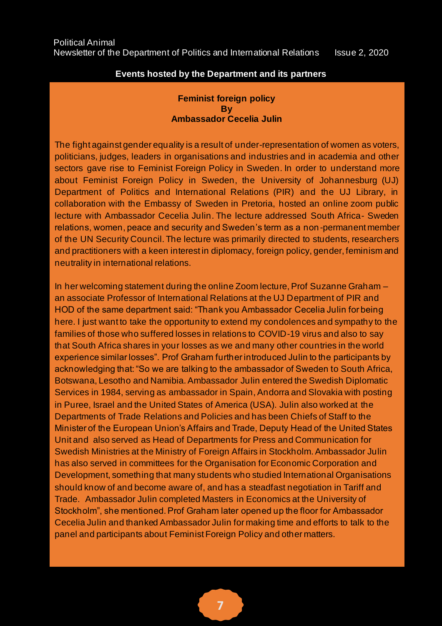# **Events hosted by the Department and its partners**

# **Feminist foreign policy By Ambassador Cecelia Julin**

The fight against gender equality is a result of under-representation of women as voters, politicians, judges, leaders in organisations and industries and in academia and other sectors gave rise to Feminist Foreign Policy in Sweden. In order to understand more about Feminist Foreign Policy in Sweden, the University of Johannesburg (UJ) Department of Politics and International Relations (PIR) and the UJ Library, in collaboration with the Embassy of Sweden in Pretoria, hosted an online zoom public lecture with Ambassador Cecelia Julin. The lecture addressed South Africa- Sweden relations, women, peace and security and Sweden's term as a non-permanent member of the UN Security Council. The lecture was primarily directed to students, researchers and practitioners with a keen interest in diplomacy, foreign policy, gender, feminism and neutrality in international relations.

In her welcoming statement during the online Zoom lecture, Prof Suzanne Graham – an associate Professor of International Relations at the UJ Department of PIR and HOD of the same department said: "Thank you Ambassador Cecelia Julin for being here. I just want to take the opportunity to extend my condolences and sympathy to the families of those who suffered losses in relations to COVID-19 virus and also to say that South Africa shares in your losses as we and many other countries in the world experience similar losses". Prof Graham further introduced Julin to the participants by acknowledging that: "So we are talking to the ambassador of Sweden to South Africa, Botswana, Lesotho and Namibia. Ambassador Julin entered the Swedish Diplomatic Services in 1984, serving as ambassador in Spain, Andorra and Slovakia with posting in Puree, Israel and the United States of America (USA). Julin also worked at the Departments of Trade Relations and Policies and has been Chiefs of Staff to the Minister of the European Union's Affairs and Trade, Deputy Head of the United States Unit and also served as Head of Departments for Press and Communication for Swedish Ministries at the Ministry of Foreign Affairs in Stockholm. Ambassador Julin has also served in committees for the Organisation for Economic Corporation and Development, something that many students who studied International Organisations should know of and become aware of, and has a steadfast negotiation in Tariff and Trade. Ambassador Julin completed Masters in Economics at the University of Stockholm", she mentioned. Prof Graham later opened up the floor for Ambassador Cecelia Julin and thanked Ambassador Julin for making time and efforts to talk to the panel and participants about Feminist Foreign Policy and other matters.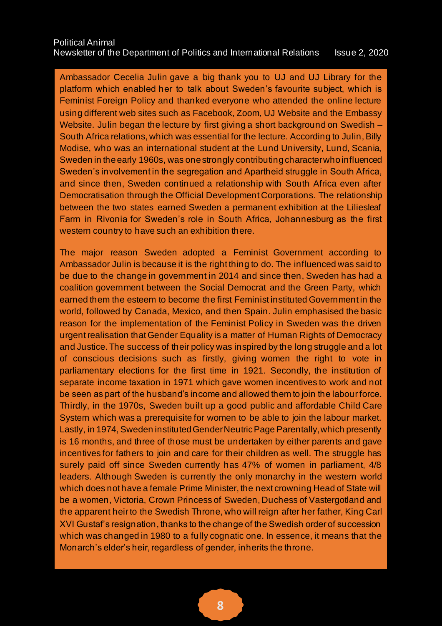Ambassador Cecelia Julin gave a big thank you to UJ and UJ Library for the platform which enabled her to talk about Sweden's favourite subject, which is Feminist Foreign Policy and thanked everyone who attended the online lecture using different web sites such as Facebook, Zoom, UJ Website and the Embassy Website. Julin began the lecture by first giving a short background on Swedish – South Africa relations, which was essential for the lecture. According to Julin, Billy Modise, who was an international student at the Lund University, Lund, Scania, Sweden in the early 1960s, was one strongly contributing character who influenced Sweden's involvement in the segregation and Apartheid struggle in South Africa, and since then, Sweden continued a relationship with South Africa even after Democratisation through the Official Development Corporations. The relationship between the two states earned Sweden a permanent exhibition at the Liliesleaf Farm in Rivonia for Sweden's role in South Africa, Johannesburg as the first western country to have such an exhibition there.

The major reason Sweden adopted a Feminist Government according to Ambassador Julin is because it is the right thing to do. The influenced was said to be due to the change in government in 2014 and since then, Sweden has had a coalition government between the Social Democrat and the Green Party, which earned them the esteem to become the first Feminist instituted Government in the world, followed by Canada, Mexico, and then Spain. Julin emphasised the basic reason for the implementation of the Feminist Policy in Sweden was the driven urgent realisation that Gender Equality is a matter of Human Rights of Democracy and Justice. The success of their policy was inspired by the long struggle and a lot of conscious decisions such as firstly, giving women the right to vote in parliamentary elections for the first time in 1921. Secondly, the institution of separate income taxation in 1971 which gave women incentives to work and not be seen as part of the husband's income and allowed them to join the labour force. Thirdly, in the 1970s, Sweden built up a good public and affordable Child Care System which was a prerequisite for women to be able to join the labour market. Lastly, in 1974, Sweden instituted Gender Neutric Page Parentally, which presently is 16 months, and three of those must be undertaken by either parents and gave incentives for fathers to join and care for their children as well. The struggle has surely paid off since Sweden currently has 47% of women in parliament, 4/8 leaders. Although Sweden is currently the only monarchy in the western world which does not have a female Prime Minister, the next crowning Head of State will be a women, Victoria, Crown Princess of Sweden, Duchess of Vastergotland and the apparent heir to the Swedish Throne, who will reign after her father, King Carl XVI Gustaf's resignation, thanks to the change of the Swedish order of succession which was changed in 1980 to a fully cognatic one. In essence, it means that the Monarch's elder's heir, regardless of gender, inherits the throne.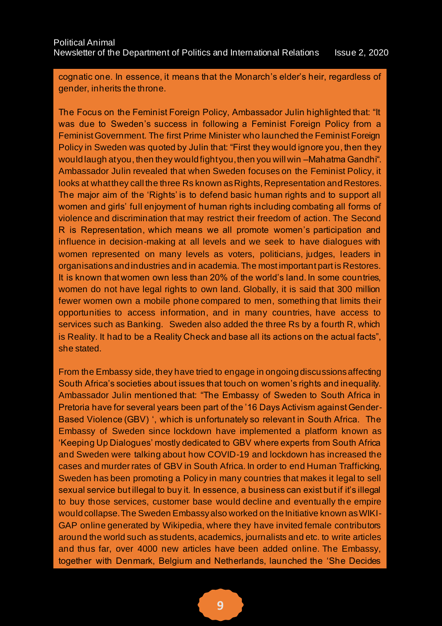cognatic one. In essence, it means that the Monarch's elder's heir, regardless of gender, inherits the throne.

The Focus on the Feminist Foreign Policy, Ambassador Julin highlighted that: "It was due to Sweden's success in following a Feminist Foreign Policy from a Feminist Government. The first Prime Minister who launched the Feminist Foreign Policy in Sweden was quoted by Julin that: "First they would ignore you, then they would laugh at you, then they would fight you, then you will win –Mahatma Gandhi". Ambassador Julin revealed that when Sweden focuses on the Feminist Policy, it looks at what they call the three Rs known as Rights, Representation and Restores. The major aim of the 'Rights' is to defend basic human rights and to support all women and girls' full enjoyment of human rights including combating all forms of violence and discrimination that may restrict their freedom of action. The Second R is Representation, which means we all promote women's participation and influence in decision-making at all levels and we seek to have dialogues with women represented on many levels as voters, politicians, judges, leaders in organisations and industries and in academia. The most important part is Restores. It is known that women own less than 20% of the world's land. In some countries, women do not have legal rights to own land. Globally, it is said that 300 million fewer women own a mobile phone compared to men, something that limits their opportunities to access information, and in many countries, have access to services such as Banking. Sweden also added the three Rs by a fourth R, which is Reality. It had to be a Reality Check and base all its actions on the actual facts", she stated.

From the Embassy side, they have tried to engage in ongoing discussions affecting South Africa's societies about issues that touch on women's rights and inequality. Ambassador Julin mentioned that: "The Embassy of Sweden to South Africa in Pretoria have for several years been part of the '16 Days Activism against Gender-Based Violence (GBV) ', which is unfortunately so relevant in South Africa. The Embassy of Sweden since lockdown have implemented a platform known as 'Keeping Up Dialogues' mostly dedicated to GBV where experts from South Africa and Sweden were talking about how COVID-19 and lockdown has increased the cases and murder rates of GBV in South Africa. In order to end Human Trafficking, Sweden has been promoting a Policy in many countries that makes it legal to sell sexual service but illegal to buy it. In essence, a business can exist but if it's illegal to buy those services, customer base would decline and eventually th e empire would collapse. The Sweden Embassy also worked on the Initiative known as WIKI-GAP online generated by Wikipedia, where they have invited female contributors around the world such as students, academics, journalists and etc. to write articles and thus far, over 4000 new articles have been added online. The Embassy, together with Denmark, Belgium and Netherlands, launched the 'She Decides

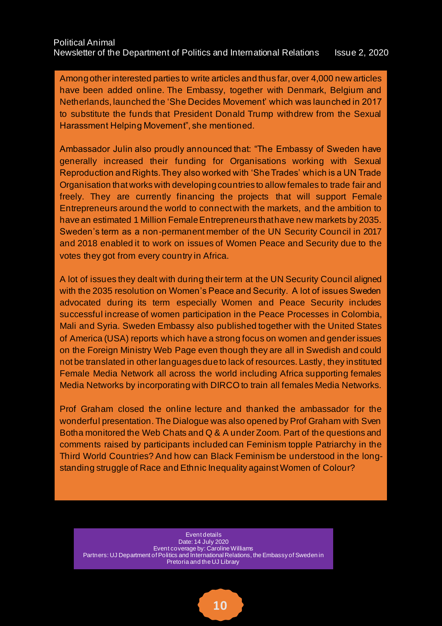Among other interested parties to write articles and thus far, over 4,000 new articles have been added online. The Embassy, together with Denmark, Belgium and Netherlands, launched the 'She Decides Movement' which was launched in 2017 to substitute the funds that President Donald Trump withdrew from the Sexual Harassment Helping Movement", she mentioned.

Ambassador Julin also proudly announced that: "The Embassy of Sweden have generally increased their funding for Organisations working with Sexual Reproduction and Rights. They also worked with 'She Trades' which is a UN Trade Organisation that works with developing countries to allow females to trade fair and freely. They are currently financing the projects that will support Female Entrepreneurs around the world to connect with the markets, and the ambition to have an estimated 1 Million Female Entrepreneurs that have new markets by 2035. Sweden's term as a non-permanent member of the UN Security Council in 2017 and 2018 enabled it to work on issues of Women Peace and Security due to the votes they got from every country in Africa.

A lot of issues they dealt with during their term at the UN Security Council aligned with the 2035 resolution on Women's Peace and Security. A lot of issues Sweden advocated during its term especially Women and Peace Security includes successful increase of women participation in the Peace Processes in Colombia, Mali and Syria. Sweden Embassy also published together with the United States of America (USA) reports which have a strong focus on women and gender issues on the Foreign Ministry Web Page even though they are all in Swedish and could not be translated in other languages due to lack of resources. Lastly, they instituted Female Media Network all across the world including Africa supporting females Media Networks by incorporating with DIRCO to train all females Media Networks.

Prof Graham closed the online lecture and thanked the ambassador for the wonderful presentation. The Dialogue was also opened by Prof Graham with Sven Botha monitored the Web Chats and Q & A under Zoom. Part of the questions and comments raised by participants included can Feminism topple Patriarchy in the Third World Countries? And how can Black Feminism be understood in the longstanding struggle of Race and Ethnic Inequality against Women of Colour?

Event details Date: 14 July 2020 Event coverage by: Caroline Williams Partners: UJ Department of Politics and International Relations, the Embassy of Sweden in Pretoria and the UJ Library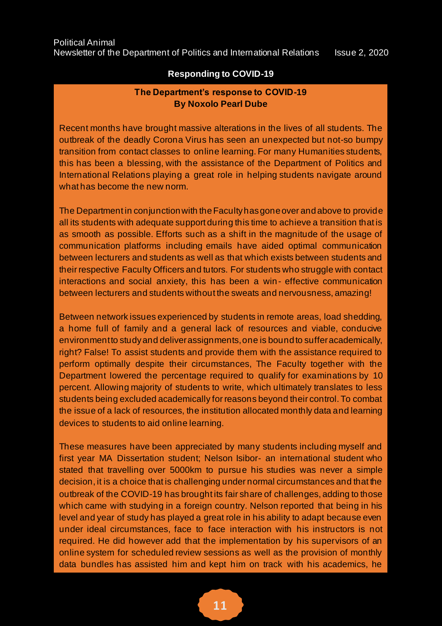# **Responding to COVID-19**

# **The Department's response to COVID-19 By Noxolo Pearl Dube**

Recent months have brought massive alterations in the lives of all students. The outbreak of the deadly Corona Virus has seen an unexpected but not-so bumpy transition from contact classes to online learning. For many Humanities students, this has been a blessing, with the assistance of the Department of Politics and International Relations playing a great role in helping students navigate around what has become the new norm.

The Department in conjunction with the Faculty has gone over and above to provide all its students with adequate support during this time to achieve a transition that is as smooth as possible. Efforts such as a shift in the magnitude of the usage of communication platforms including emails have aided optimal communication between lecturers and students as well as that which exists between students and their respective Faculty Officers and tutors. For students who struggle with contact interactions and social anxiety, this has been a win- effective communication between lecturers and students without the sweats and nervousness, amazing!

Between network issues experienced by students in remote areas, load shedding, a home full of family and a general lack of resources and viable, conducive environment to study and deliver assignments, one is bound to suffer academically, right? False! To assist students and provide them with the assistance required to perform optimally despite their circumstances, The Faculty together with the Department lowered the percentage required to qualify for examinations by 10 percent. Allowing majority of students to write, which ultimately translates to less students being excluded academically for reasons beyond their control. To combat the issue of a lack of resources, the institution allocated monthly data and learning devices to students to aid online learning.

These measures have been appreciated by many students including myself and first year MA Dissertation student; Nelson Isibor- an international student who stated that travelling over 5000km to pursue his studies was never a simple decision, it is a choice that is challenging under normal circumstances and that the outbreak of the COVID-19 has brought its fair share of challenges, adding to those which came with studying in a foreign country. Nelson reported that being in his level and year of study has played a great role in his ability to adapt because even under ideal circumstances, face to face interaction with his instructors is not required. He did however add that the implementation by his supervisors of an online system for scheduled review sessions as well as the provision of monthly data bundles has assisted him and kept him on track with his academics, he



leeway for submissions, which were put into place to ensure that each student has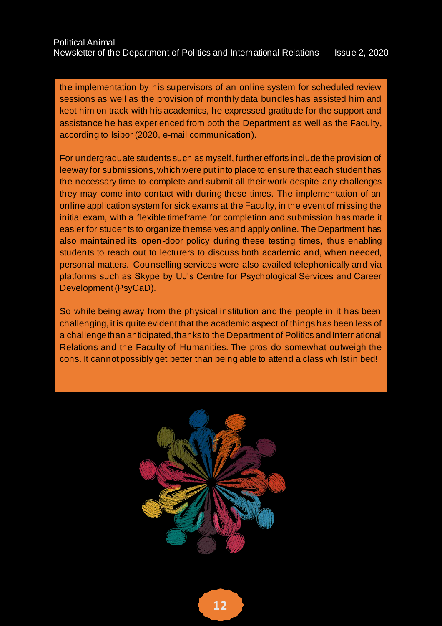the implementation by his supervisors of an online system for scheduled review sessions as well as the provision of monthly data bundles has assisted him and kept him on track with his academics, he expressed gratitude for the support and assistance he has experienced from both the Department as well as the Faculty, according to Isibor (2020, e-mail communication).

For undergraduate students such as myself, further efforts include the provision of leeway for submissions, which were put into place to ensure that each student has the necessary time to complete and submit all their work despite any challenges they may come into contact with during these times. The implementation of an online application system for sick exams at the Faculty, in the event of missing the initial exam, with a flexible timeframe for completion and submission has made it easier for students to organize themselves and apply online. The Department has also maintained its open-door policy during these testing times, thus enabling students to reach out to lecturers to discuss both academic and, when needed, personal matters. Counselling services were also availed telephonically and via platforms such as Skype by UJ's Centre for Psychological Services and Career Development (PsyCaD).

So while being away from the physical institution and the people in it has been challenging, it is quite evident that the academic aspect of things has been less of a challenge than anticipated, thanks to the Department of Politics and International Relations and the Faculty of Humanities. The pros do somewhat outweigh the cons. It cannot possibly get better than being able to attend a class whilst in bed!

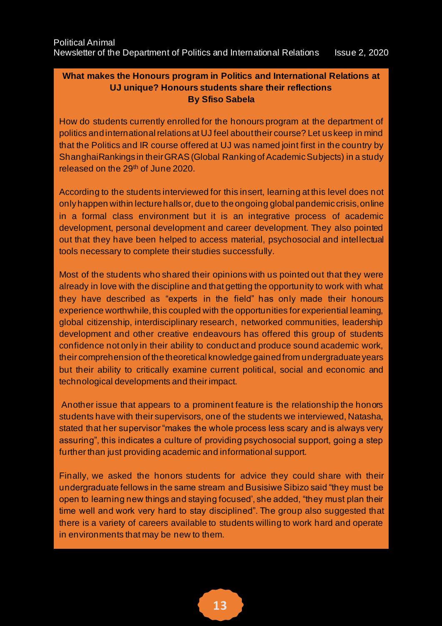# **What makes the Honours program in Politics and International Relations at UJ unique? Honours students share their reflections By Sfiso Sabela**

How do students currently enrolled for the honours program at the department of politics and international relations at UJ feel about their course? Let us keep in mind that the Politics and IR course offered at UJ was named joint first in the country by ShanghaiRankings in their GRAS (Global Ranking of Academic Subjects) in a study released on the 29<sup>th</sup> of June 2020.

According to the students interviewed for this insert, learning at this level does not only happen within lecture halls or, due to the ongoing global pandemic crisis, online in a formal class environment but it is an integrative process of academic development, personal development and career development. They also pointed out that they have been helped to access material, psychosocial and intellectual tools necessary to complete their studies successfully.

Most of the students who shared their opinions with us pointed out that they were already in love with the discipline and that getting the opportunity to work with what they have described as "experts in the field" has only made their honours experience worthwhile, this coupled with the opportunities for experiential learning, global citizenship, interdisciplinary research, networked communities, leadership development and other creative endeavours has offered this group of students confidence not only in their ability to conduct and produce sound academic work, their comprehension of the theoretical knowledge gained from undergraduate years but their ability to critically examine current political, social and economic and technological developments and their impact.

Another issue that appears to a prominent feature is the relationship the honors students have with their supervisors, one of the students we interviewed, Natasha, stated that her supervisor "makes the whole process less scary and is always very assuring", this indicates a culture of providing psychosocial support, going a step further than just providing academic and informational support.

Finally, we asked the honors students for advice they could share with their undergraduate fellows in the same stream and Busisiwe Sibizo said "they must be open to learning new things and staying focused', she added, "they must plan their time well and work very hard to stay disciplined". The group also suggested that there is a variety of careers available to students willing to work hard and operate in environments that may be new to them.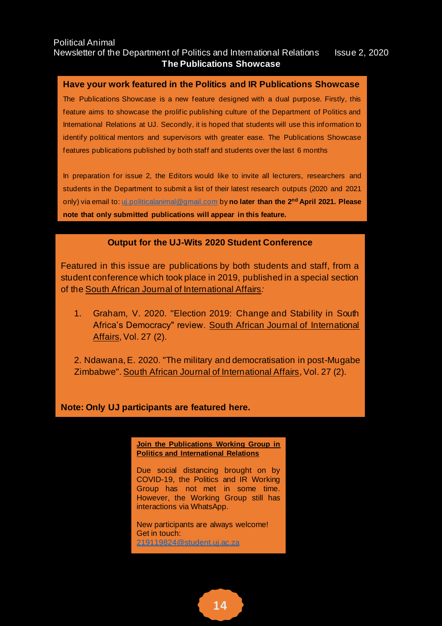#### Political Animal Newsletter of the Department of Politics and International Relations Issue 2, 2020 **The Publications Showcase**

### **Have your work featured in the Politics and IR Publications Showcase**

The Publications Showcase is a new feature designed with a dual purpose. Firstly, this feature aims to showcase the prolific publishing culture of the Department of Politics and International Relations at UJ. Secondly, it is hoped that students will use this information to identify political mentors and supervisors with greater ease. The Publications Showcase features publications published by both staff and students over the last 6 months

In preparation for issue 2, the Editors would like to invite all lecturers, researchers and students in the Department to submit a list of their latest research outputs (2020 and 2021 only) via email to[: uj.politicalanimal@gmail.com](mailto:uj.politicalanimal@gmail.com) by **no later than the 2 nd April 2021. Please note that only submitted publications will appear in this feature.**

## **Output for the UJ-Wits 2020 Student Conference**

Featured in this issue are publications by both students and staff, from a student conference which took place in 2019, published in a special section of the South African Journal of International Affairs*:*

- 1. Graham, V. 2020. "Election 2019: Change and Stability in South Africa's Democracy" review. South African Journal of International Affairs, Vol. 27 (2).
- 2. Ndawana, E. 2020. "The military and democratisation in post-Mugabe Zimbabwe". South African Journal of International Affairs, Vol. 27 (2).

**Note: Only UJ participants are featured here.** 

**Join the Publications Working Group in Politics and International Relations** 

Due social distancing brought on by COVID-19, the Politics and IR Working Group has not met in some time. However, the Working Group still has interactions via WhatsApp.

New participants are always welcome! Get in touch: [219119824@student.uj.ac.za](mailto:219119824@student.uj.ac.za)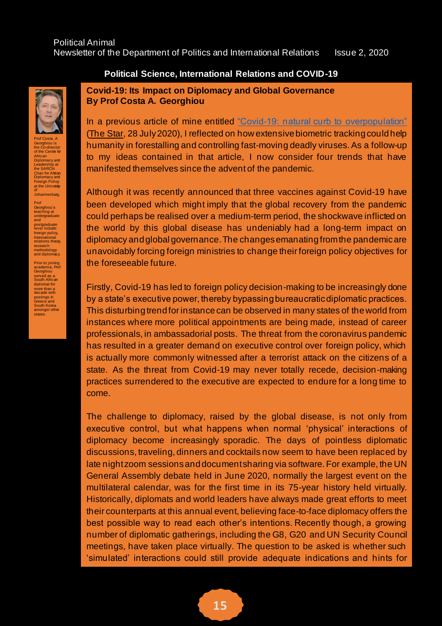

Prof Costa. A Georghiou is the Co-director<br>of the Cent<mark>re for</mark> African<br>Diplomacy and<br>Leadership at<br>the SARChi<br>Chair for African<br>Diplomacy and<br>Foreign Policy<br>at the University<br>of Johannesburg.

Prof Georghiou's teaching at undergraduate and postgraduate<br>level include: foreign policy,<br>International<br>relations theory, research<br>methodol methodology and diplomacy.

Prior to joining academia, Prof Georghiou served as a South African diplomat for more than a decade with postings in Greece and South Korea amongst other<br>states.

# **Political Science, International Relations and COVID-19**

**Covid-19: Its Impact on Diplomacy and Global Governance By Prof Costa A. Georghiou**

In a previous article of mine entitled ["Covid-19: natural curb to overpopulation"](https://www.iol.co.za/the-star/opinion-analysis/opinion-covid-19-is-natures-way-of-dealing-with-overpopulation-93269228-16b5-47ac-88e6-51dbb0940a0f) (The Star, 28 July 2020), I reflected on how extensive biometric tracking could help humanity in forestalling and controlling fast-moving deadly viruses. As a follow-up to my ideas contained in that article, I now consider four trends that have manifested themselves since the advent of the pandemic.

Although it was recently announced that three vaccines against Covid-19 have been developed which might imply that the global recovery from the pandemic could perhaps be realised over a medium-term period, the shockwave inflicted on the world by this global disease has undeniably had a long-term impact on diplomacy and global governance. The changes emanating from the pandemic are unavoidably forcing foreign ministries to change their foreign policy objectives for the foreseeable future.

Firstly, Covid-19 has led to foreign policy decision-making to be increasingly done by a state's executive power, thereby bypassing bureaucratic diplomatic practices. This disturbing trend for instance can be observed in many states of the world from instances where more political appointments are being made, instead of career professionals, in ambassadorial posts. The threat from the coronavirus pandemic has resulted in a greater demand on executive control over foreign policy, which is actually more commonly witnessed after a terrorist attack on the citizens of a state. As the threat from Covid-19 may never totally recede, decision-making practices surrendered to the executive are expected to endure for a long time to come.

The challenge to diplomacy, raised by the global disease, is not only from executive control, but what happens when normal 'physical' interactions of diplomacy become increasingly sporadic. The days of pointless diplomatic discussions, traveling, dinners and cocktails now seem to have been replaced by late night zoom sessions and document sharing via software. For example, the UN General Assembly debate held in June 2020, normally the largest event on the multilateral calendar, was for the first time in its 75-year history held virtually. Historically, diplomats and world leaders have always made great efforts to meet their counterparts at this annual event, believing face-to-face diplomacy offers the best possible way to read each other's intentions. Recently though, a growing number of diplomatic gatherings, including the G8, G20 and UN Security Council meetings, have taken place virtually. The question to be asked is whether such 'simulated' interactions could still provide adequate indications and hints for

relationships to be trusted, maintained and developed?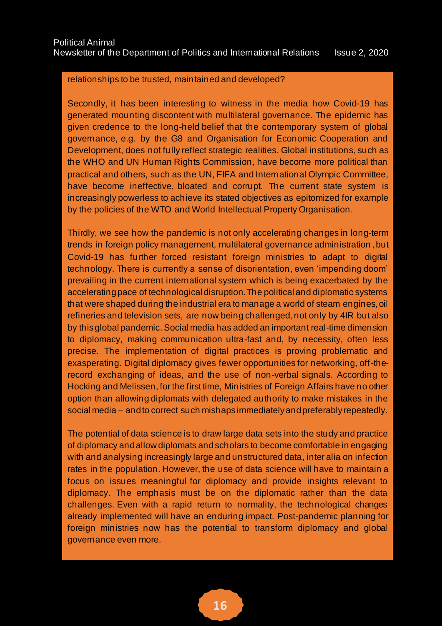### relationships to be trusted, maintained and developed?

Secondly, it has been interesting to witness in the media how Covid-19 has generated mounting discontent with multilateral governance. The epidemic has given credence to the long-held belief that the contemporary system of global governance, e.g. by the G8 and Organisation for Economic Cooperation and Development, does not fully reflect strategic realities. Global institutions, such as the WHO and UN Human Rights Commission, have become more political than practical and others, such as the UN, FIFA and International Olympic Committee, have become ineffective, bloated and corrupt. The current state system is increasingly powerless to achieve its stated objectives as epitomized for example by the policies of the WTO and World Intellectual Property Organisation.

Thirdly, we see how the pandemic is not only accelerating changes in long-term trends in foreign policy management, multilateral governance administration , but Covid-19 has further forced resistant foreign ministries to adapt to digital technology. There is currently a sense of disorientation, even 'impending doom' prevailing in the current international system which is being exacerbated by the accelerating pace of technological disruption. The political and diplomatic systems that were shaped during the industrial era to manage a world of steam engines, oil refineries and television sets, are now being challenged, not only by 4IR but also by this global pandemic. Social media has added an important real-time dimension to diplomacy, making communication ultra-fast and, by necessity, often less precise. The implementation of digital practices is proving problematic and exasperating. Digital diplomacy gives fewer opportunities for networking, off-therecord exchanging of ideas, and the use of non-verbal signals. According to Hocking and Melissen, for the first time, Ministries of Foreign Affairs have no other option than allowing diplomats with delegated authority to make mistakes in the social media – and to correct such mishaps immediately and preferably repeatedly.

The potential of data science is to draw large data sets into the study and practice of diplomacy and allow diplomats and scholars to become comfortable in engaging with and analysing increasingly large and unstructured data, inter alia on infection rates in the population. However, the use of data science will have to maintain a focus on issues meaningful for diplomacy and provide insights relevant to diplomacy. The emphasis must be on the diplomatic rather than the data challenges. Even with a rapid return to normality, the technological changes already implemented will have an enduring impact. Post-pandemic planning for foreign ministries now has the potential to transform diplomacy and global governance even more.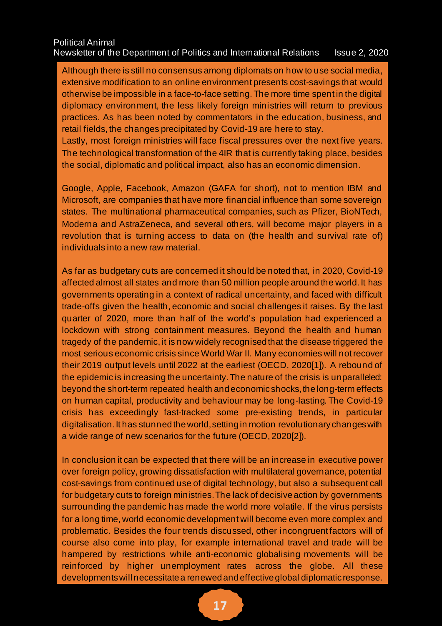### Political Animal Newsletter of the Department of Politics and International Relations Issue 2, 2020

Although there is still no consensus among diplomats on how to use social media, extensive modification to an online environment presents cost-savings that would otherwise be impossible in a face-to-face setting. The more time spent in the digital diplomacy environment, the less likely foreign ministries will return to previous practices. As has been noted by commentators in the education, business, and retail fields, the changes precipitated by Covid-19 are here to stay.

Lastly, most foreign ministries will face fiscal pressures over the next five years. The technological transformation of the 4IR that is currently taking place, besides the social, diplomatic and political impact, also has an economic dimension.

Google, Apple, Facebook, Amazon (GAFA for short), not to mention IBM and Microsoft, are companies that have more financial influence than some sovereign states. The multinational pharmaceutical companies, such as Pfizer, BioNTech, Moderna and AstraZeneca, and several others, will become major players in a revolution that is turning access to data on (the health and survival rate of) individuals into a new raw material.

As far as budgetary cuts are concerned it should be noted that, in 2020, Covid-19 affected almost all states and more than 50 million people around the world. It has governments operating in a context of radical uncertainty, and faced with difficult trade-offs given the health, economic and social challenges it raises. By the last quarter of 2020, more than half of the world's population had experienced a lockdown with strong containment measures. Beyond the health and human tragedy of the pandemic, it is now widely recognised that the disease triggered the most serious economic crisis since World War II. Many economies will not recover their 2019 output levels until 2022 at the earliest (OECD, 2020[1]). A rebound of the epidemic is increasing the uncertainty. The nature of the crisis is unparalleled: beyond the short-term repeated health and economic shocks, the long-term effects on human capital, productivity and behaviour may be long-lasting. The Covid-19 crisis has exceedingly fast-tracked some pre-existing trends, in particular digitalisation. It has stunned the world, setting in motion revolutionary changes with a wide range of new scenarios for the future (OECD, 2020[2]).

In conclusion it can be expected that there will be an increase in executive power over foreign policy, growing dissatisfaction with multilateral governance, potential cost-savings from continued use of digital technology, but also a subsequent call for budgetary cuts to foreign ministries. The lack of decisive action by governments surrounding the pandemic has made the world more volatile. If the virus persists for a long time, world economic development will become even more complex and problematic. Besides the four trends discussed, other incongruent factors will of course also come into play, for example international travel and trade will be hampered by restrictions while anti-economic globalising movements will be reinforced by higher unemployment rates across the globe. All these developments will necessitate a renewed and effective global diplomatic response.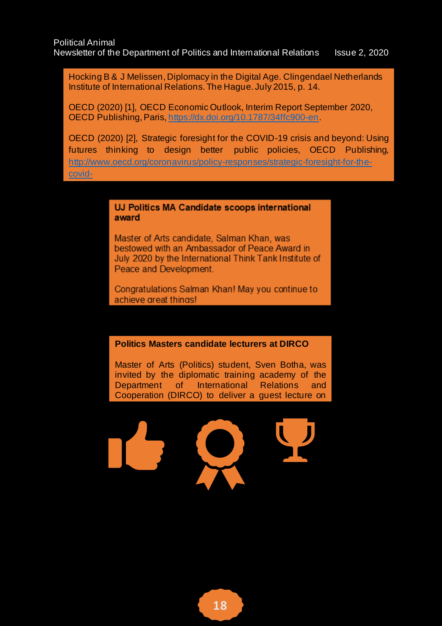Hocking B & J Melissen, Diplomacy in the Digital Age. Clingendael Netherlands Institute of International Relations. The Hague. July 2015, p. 14.

OECD (2020) [1], OECD Economic Outlook, Interim Report September 2020, OECD Publishing, Paris[, https://dx.doi.org/10.1787/34ffc900-en.](https://dx.doi.org/10.1787/34ffc900-en)

OECD (2020) [2], Strategic foresight for the COVID-19 crisis and beyond: Using futures thinking to design better public policies, OECD Publishing, [http://www.oecd.org/coronavirus/policy-responses/strategic-foresight-for-the](http://www.oecd.org/coronavirus/policy-responses/strategic-foresight-for-the-covid-)[covid-](http://www.oecd.org/coronavirus/policy-responses/strategic-foresight-for-the-covid-)

> UJ Politics MA Candidate scoops international award

Master of Arts candidate, Salman Khan, was bestowed with an Ambassador of Peace Award in July 2020 by the International Think Tank Institute of Peace and Development.

Congratulations Salman Khan! May you continue to achieve areat thinas!

#### **Politics Masters candidate lecturers at DIRCO**

Master of Arts (Politics) student, Sven Botha, was invited by the diplomatic training academy of the Department of International Relations and Cooperation (DIRCO) to deliver a guest lecture on